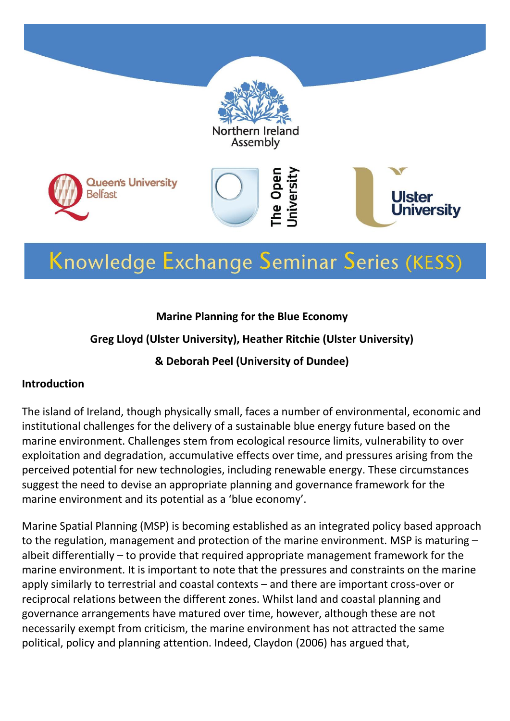

# Knowledge Exchange Seminar Series (KESS)

#### **Marine Planning for the Blue Economy**

#### **Greg Lloyd (Ulster University), Heather Ritchie (Ulster University)**

#### **& Deborah Peel (University of Dundee)**

#### **Introduction**

The island of Ireland, though physically small, faces a number of environmental, economic and institutional challenges for the delivery of a sustainable blue energy future based on the marine environment. Challenges stem from ecological resource limits, vulnerability to over exploitation and degradation, accumulative effects over time, and pressures arising from the perceived potential for new technologies, including renewable energy. These circumstances suggest the need to devise an appropriate planning and governance framework for the marine environment and its potential as a 'blue economy'.

Marine Spatial Planning (MSP) is becoming established as an integrated policy based approach to the regulation, management and protection of the marine environment. MSP is maturing – albeit differentially – to provide that required appropriate management framework for the marine environment. It is important to note that the pressures and constraints on the marine apply similarly to terrestrial and coastal contexts – and there are important cross-over or reciprocal relations between the different zones. Whilst land and coastal planning and governance arrangements have matured over time, however, although these are not necessarily exempt from criticism, the marine environment has not attracted the same political, policy and planning attention. Indeed, Claydon (2006) has argued that,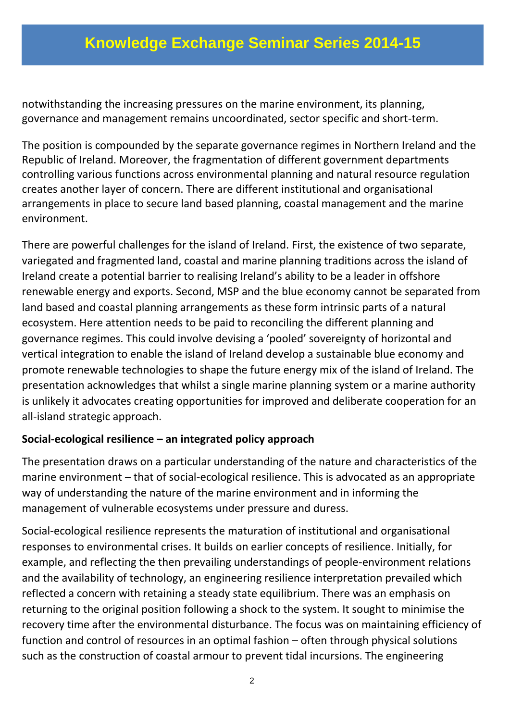notwithstanding the increasing pressures on the marine environment, its planning, governance and management remains uncoordinated, sector specific and short-term.

The position is compounded by the separate governance regimes in Northern Ireland and the Republic of Ireland. Moreover, the fragmentation of different government departments controlling various functions across environmental planning and natural resource regulation creates another layer of concern. There are different institutional and organisational arrangements in place to secure land based planning, coastal management and the marine environment.

There are powerful challenges for the island of Ireland. First, the existence of two separate, variegated and fragmented land, coastal and marine planning traditions across the island of Ireland create a potential barrier to realising Ireland's ability to be a leader in offshore renewable energy and exports. Second, MSP and the blue economy cannot be separated from land based and coastal planning arrangements as these form intrinsic parts of a natural ecosystem. Here attention needs to be paid to reconciling the different planning and governance regimes. This could involve devising a 'pooled' sovereignty of horizontal and vertical integration to enable the island of Ireland develop a sustainable blue economy and promote renewable technologies to shape the future energy mix of the island of Ireland. The presentation acknowledges that whilst a single marine planning system or a marine authority is unlikely it advocates creating opportunities for improved and deliberate cooperation for an all-island strategic approach.

#### **Social-ecological resilience – an integrated policy approach**

The presentation draws on a particular understanding of the nature and characteristics of the marine environment – that of social-ecological resilience. This is advocated as an appropriate way of understanding the nature of the marine environment and in informing the management of vulnerable ecosystems under pressure and duress.

Social-ecological resilience represents the maturation of institutional and organisational responses to environmental crises. It builds on earlier concepts of resilience. Initially, for example, and reflecting the then prevailing understandings of people-environment relations and the availability of technology, an engineering resilience interpretation prevailed which reflected a concern with retaining a steady state equilibrium. There was an emphasis on returning to the original position following a shock to the system. It sought to minimise the recovery time after the environmental disturbance. The focus was on maintaining efficiency of function and control of resources in an optimal fashion – often through physical solutions such as the construction of coastal armour to prevent tidal incursions. The engineering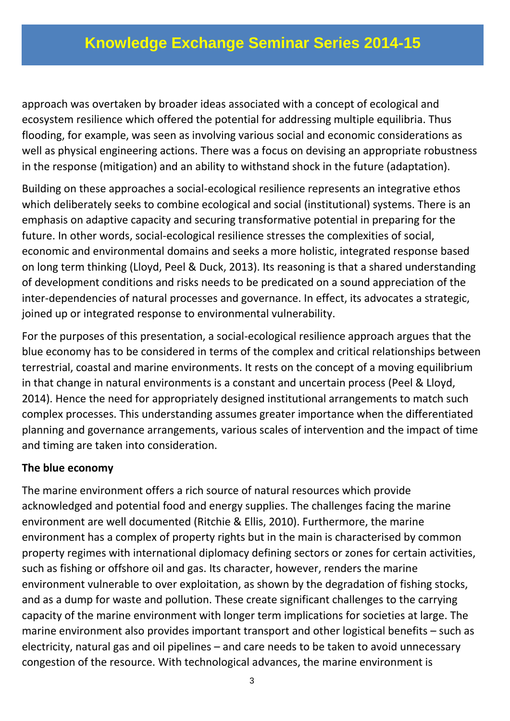approach was overtaken by broader ideas associated with a concept of ecological and ecosystem resilience which offered the potential for addressing multiple equilibria. Thus flooding, for example, was seen as involving various social and economic considerations as well as physical engineering actions. There was a focus on devising an appropriate robustness in the response (mitigation) and an ability to withstand shock in the future (adaptation).

Building on these approaches a social-ecological resilience represents an integrative ethos which deliberately seeks to combine ecological and social (institutional) systems. There is an emphasis on adaptive capacity and securing transformative potential in preparing for the future. In other words, social-ecological resilience stresses the complexities of social, economic and environmental domains and seeks a more holistic, integrated response based on long term thinking (Lloyd, Peel & Duck, 2013). Its reasoning is that a shared understanding of development conditions and risks needs to be predicated on a sound appreciation of the inter-dependencies of natural processes and governance. In effect, its advocates a strategic, joined up or integrated response to environmental vulnerability.

For the purposes of this presentation, a social-ecological resilience approach argues that the blue economy has to be considered in terms of the complex and critical relationships between terrestrial, coastal and marine environments. It rests on the concept of a moving equilibrium in that change in natural environments is a constant and uncertain process (Peel & Lloyd, 2014). Hence the need for appropriately designed institutional arrangements to match such complex processes. This understanding assumes greater importance when the differentiated planning and governance arrangements, various scales of intervention and the impact of time and timing are taken into consideration.

#### **The blue economy**

The marine environment offers a rich source of natural resources which provide acknowledged and potential food and energy supplies. The challenges facing the marine environment are well documented (Ritchie & Ellis, 2010). Furthermore, the marine environment has a complex of property rights but in the main is characterised by common property regimes with international diplomacy defining sectors or zones for certain activities, such as fishing or offshore oil and gas. Its character, however, renders the marine environment vulnerable to over exploitation, as shown by the degradation of fishing stocks, and as a dump for waste and pollution. These create significant challenges to the carrying capacity of the marine environment with longer term implications for societies at large. The marine environment also provides important transport and other logistical benefits – such as electricity, natural gas and oil pipelines – and care needs to be taken to avoid unnecessary congestion of the resource. With technological advances, the marine environment is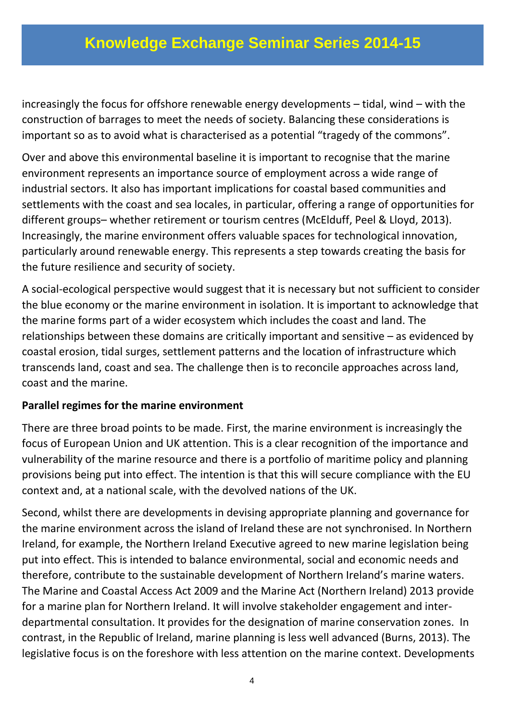increasingly the focus for offshore renewable energy developments – tidal, wind – with the construction of barrages to meet the needs of society. Balancing these considerations is important so as to avoid what is characterised as a potential "tragedy of the commons".

Over and above this environmental baseline it is important to recognise that the marine environment represents an importance source of employment across a wide range of industrial sectors. It also has important implications for coastal based communities and settlements with the coast and sea locales, in particular, offering a range of opportunities for different groups– whether retirement or tourism centres (McElduff, Peel & Lloyd, 2013). Increasingly, the marine environment offers valuable spaces for technological innovation, particularly around renewable energy. This represents a step towards creating the basis for the future resilience and security of society.

A social-ecological perspective would suggest that it is necessary but not sufficient to consider the blue economy or the marine environment in isolation. It is important to acknowledge that the marine forms part of a wider ecosystem which includes the coast and land. The relationships between these domains are critically important and sensitive – as evidenced by coastal erosion, tidal surges, settlement patterns and the location of infrastructure which transcends land, coast and sea. The challenge then is to reconcile approaches across land, coast and the marine.

#### **Parallel regimes for the marine environment**

There are three broad points to be made. First, the marine environment is increasingly the focus of European Union and UK attention. This is a clear recognition of the importance and vulnerability of the marine resource and there is a portfolio of maritime policy and planning provisions being put into effect. The intention is that this will secure compliance with the EU context and, at a national scale, with the devolved nations of the UK.

Second, whilst there are developments in devising appropriate planning and governance for the marine environment across the island of Ireland these are not synchronised. In Northern Ireland, for example, the Northern Ireland Executive agreed to new marine legislation being put into effect. This is intended to balance environmental, social and economic needs and therefore, contribute to the sustainable development of Northern Ireland's marine waters. The Marine and Coastal Access Act 2009 and the Marine Act (Northern Ireland) 2013 provide for a marine plan for Northern Ireland. It will involve stakeholder engagement and interdepartmental consultation. It provides for the designation of marine conservation zones. In contrast, in the Republic of Ireland, marine planning is less well advanced (Burns, 2013). The legislative focus is on the foreshore with less attention on the marine context. Developments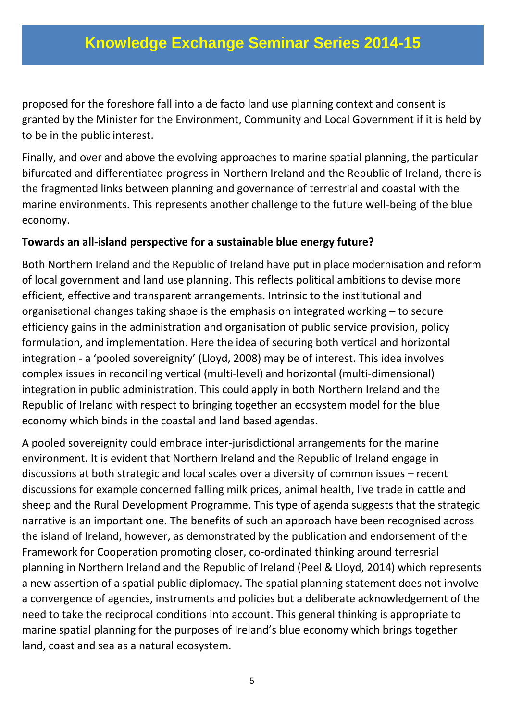proposed for the foreshore fall into a de facto land use planning context and consent is granted by the Minister for the Environment, Community and Local Government if it is held by to be in the public interest.

Finally, and over and above the evolving approaches to marine spatial planning, the particular bifurcated and differentiated progress in Northern Ireland and the Republic of Ireland, there is the fragmented links between planning and governance of terrestrial and coastal with the marine environments. This represents another challenge to the future well-being of the blue economy.

#### **Towards an all-island perspective for a sustainable blue energy future?**

Both Northern Ireland and the Republic of Ireland have put in place modernisation and reform of local government and land use planning. This reflects political ambitions to devise more efficient, effective and transparent arrangements. Intrinsic to the institutional and organisational changes taking shape is the emphasis on integrated working – to secure efficiency gains in the administration and organisation of public service provision, policy formulation, and implementation. Here the idea of securing both vertical and horizontal integration - a 'pooled sovereignity' (Lloyd, 2008) may be of interest. This idea involves complex issues in reconciling vertical (multi-level) and horizontal (multi-dimensional) integration in public administration. This could apply in both Northern Ireland and the Republic of Ireland with respect to bringing together an ecosystem model for the blue economy which binds in the coastal and land based agendas.

A pooled sovereignity could embrace inter-jurisdictional arrangements for the marine environment. It is evident that Northern Ireland and the Republic of Ireland engage in discussions at both strategic and local scales over a diversity of common issues – recent discussions for example concerned falling milk prices, animal health, live trade in cattle and sheep and the Rural Development Programme. This type of agenda suggests that the strategic narrative is an important one. The benefits of such an approach have been recognised across the island of Ireland, however, as demonstrated by the publication and endorsement of the Framework for Cooperation promoting closer, co-ordinated thinking around terresrial planning in Northern Ireland and the Republic of Ireland (Peel & Lloyd, 2014) which represents a new assertion of a spatial public diplomacy. The spatial planning statement does not involve a convergence of agencies, instruments and policies but a deliberate acknowledgement of the need to take the reciprocal conditions into account. This general thinking is appropriate to marine spatial planning for the purposes of Ireland's blue economy which brings together land, coast and sea as a natural ecosystem.